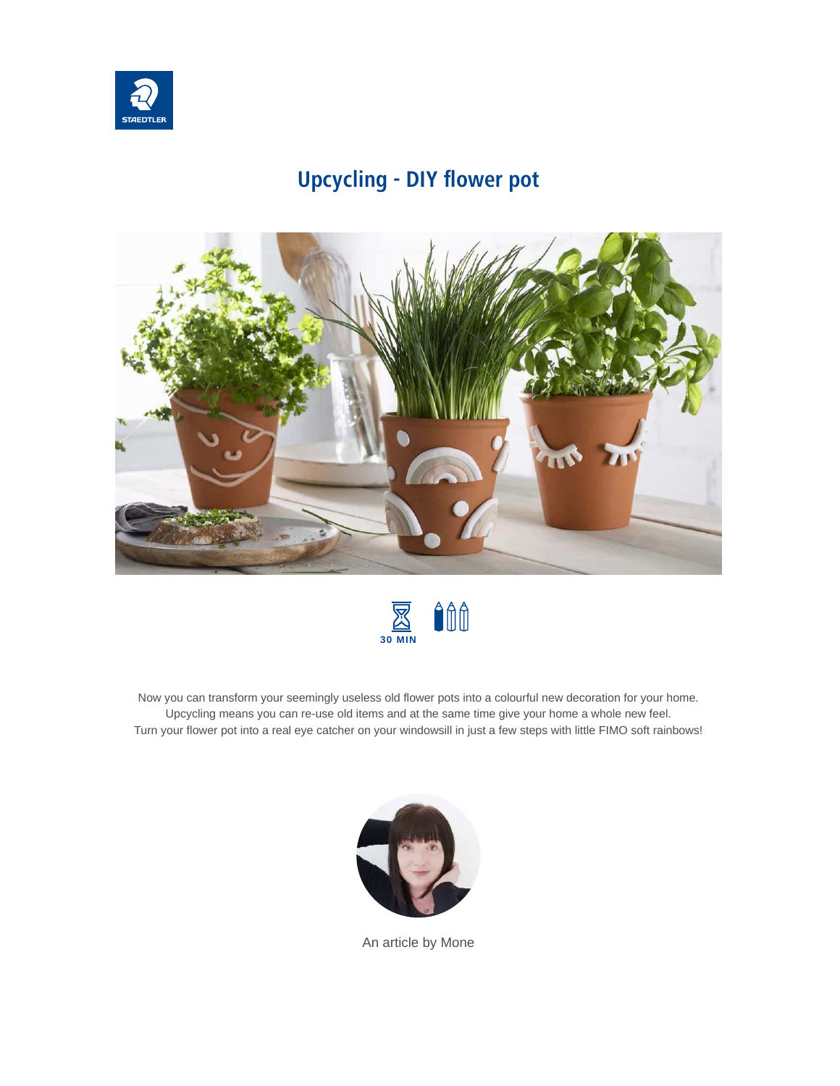

# **Upcycling - DIY flower pot**





Now you can transform your seemingly useless old flower pots into a colourful new decoration for your home. Upcycling means you can re-use old items and at the same time give your home a whole new feel. Turn your flower pot into a real eye catcher on your windowsill in just a few steps with little FIMO soft rainbows!



An article by Mone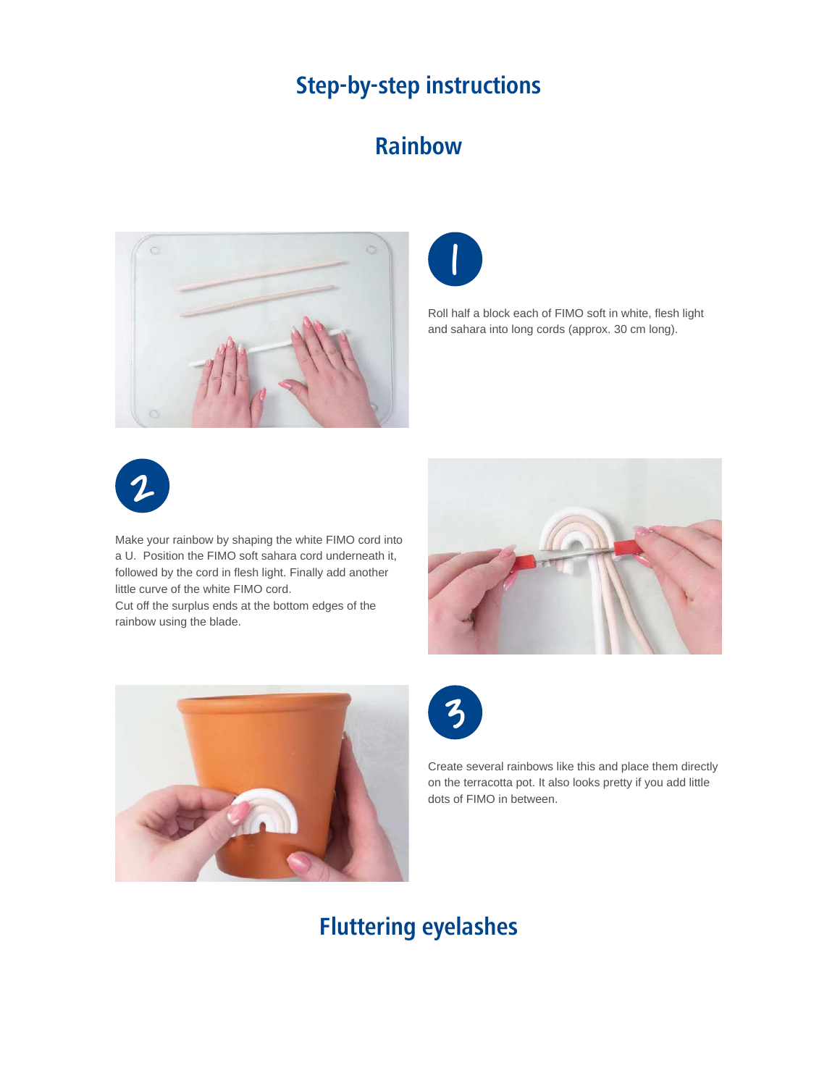## **Step-by-step instructions**

#### **Rainbow**





Roll half a block each of FIMO soft in white, flesh light and sahara into long cords (approx. 30 cm long).



Make your rainbow by shaping the white FIMO cord into a U. Position the FIMO soft sahara cord underneath it, followed by the cord in flesh light. Finally add another little curve of the white FIMO cord.

Cut off the surplus ends at the bottom edges of the rainbow using the blade.







Create several rainbows like this and place them directly on the terracotta pot. It also looks pretty if you add little dots of FIMO in between.

## **Fluttering eyelashes**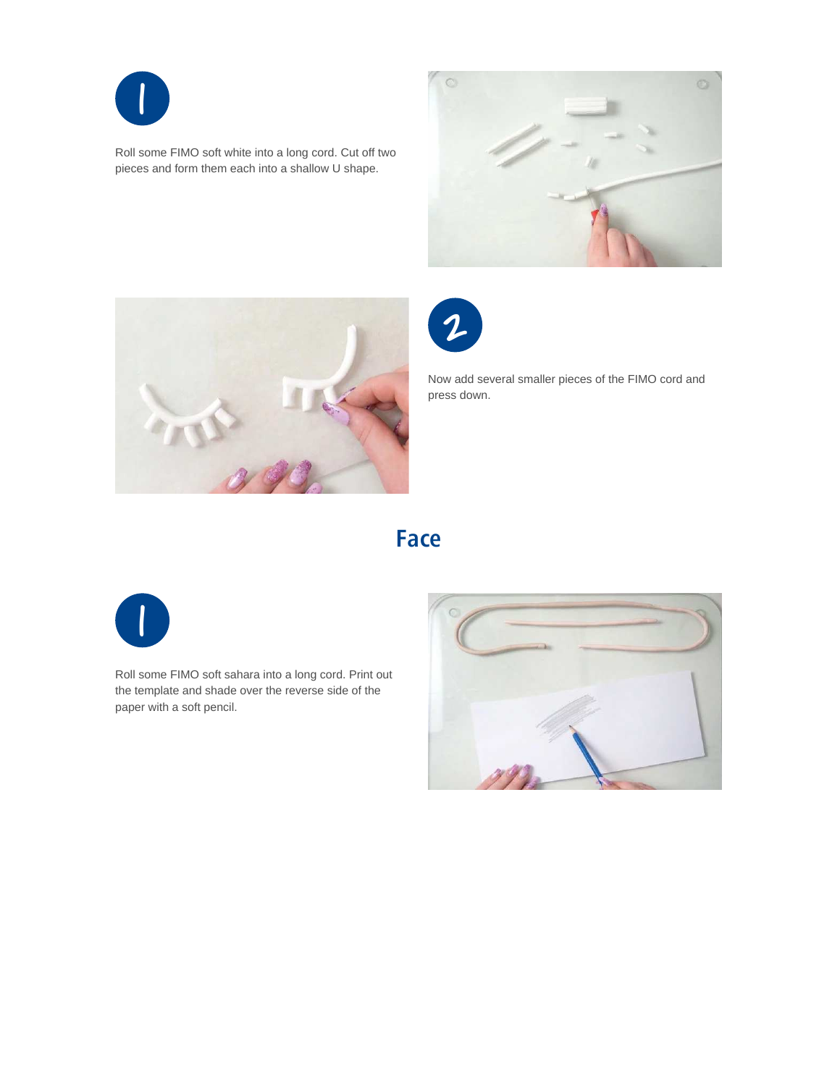

Roll some FIMO soft white into a long cord. Cut off two pieces and form them each into a shallow U shape.







Now add several smaller pieces of the FIMO cord and press down.

### **Face**



Roll some FIMO soft sahara into a long cord. Print out the template and shade over the reverse side of the paper with a soft pencil.

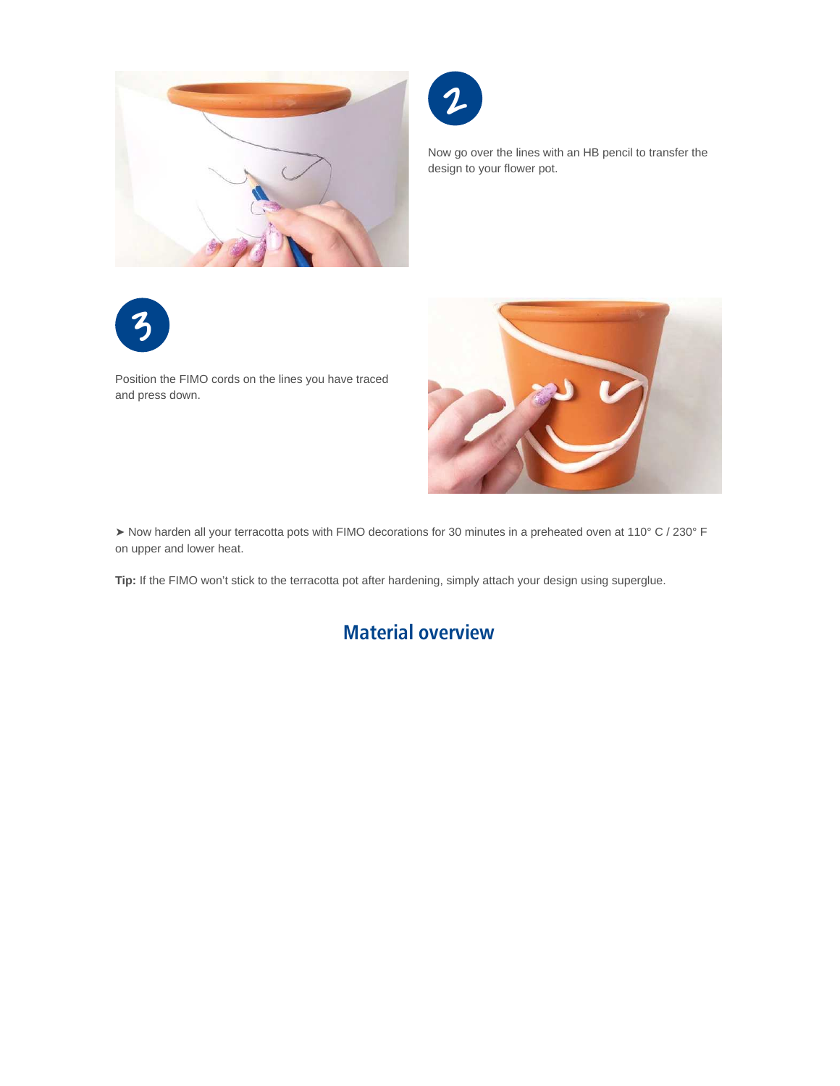



Now go over the lines with an HB pencil to transfer the design to your flower pot.



Position the FIMO cords on the lines you have traced and press down.



➤ Now harden all your terracotta pots with FIMO decorations for 30 minutes in a preheated oven at 110° C / 230° F on upper and lower heat.

**Tip:** If the FIMO won't stick to the terracotta pot after hardening, simply attach your design using superglue.

#### **Material overview**